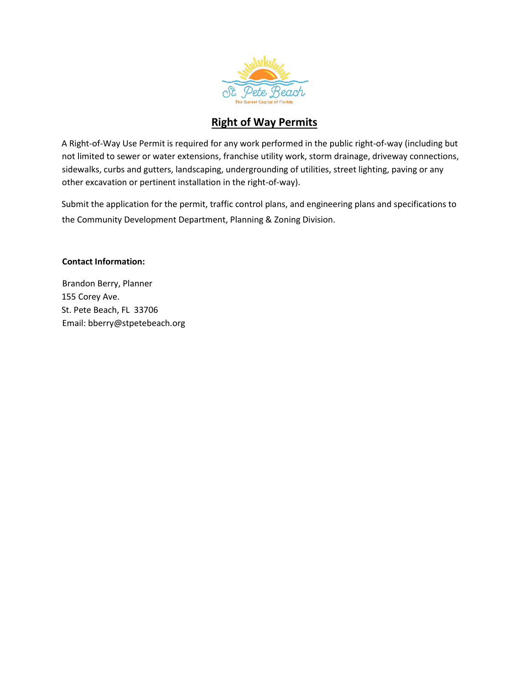

## **Right of Way Permits**

A Right-of-Way Use Permit is required for any work performed in the public right-of-way (including but not limited to sewer or water extensions, franchise utility work, storm drainage, driveway connections, sidewalks, curbs and gutters, landscaping, undergrounding of utilities, street lighting, paving or any other excavation or pertinent installation in the right-of-way).

Submit the application for the permit, traffic control plans, and engineering plans and specifications to the Community Development Department, Planning & Zoning Division.

### **Contact Information:**

Brandon Berry, Planner 155 Corey Ave. St. Pete Beach, FL 33706 Email: bberry@stpetebeach.org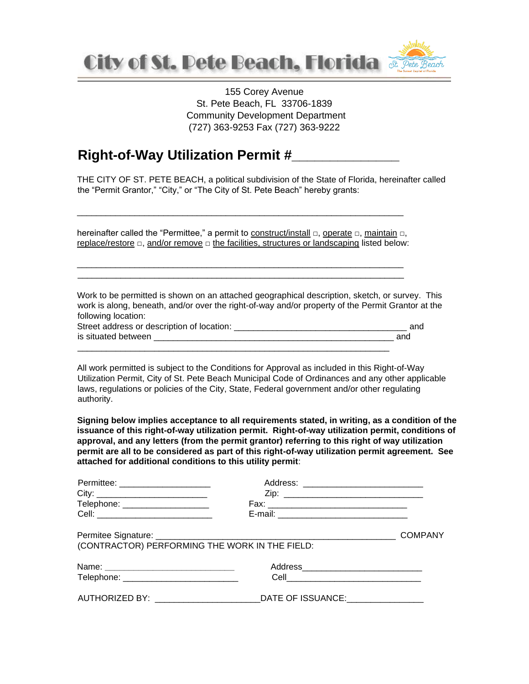

155 Corey Avenue St. Pete Beach, FL 33706-1839 Community Development Department (727) 363-9253 Fax (727) 363-9222

# **Right-of-Way Utilization Permit #\_\_\_\_\_\_\_\_\_\_\_\_\_\_**

THE CITY OF ST. PETE BEACH, a political subdivision of the State of Florida, hereinafter called the "Permit Grantor," "City," or "The City of St. Pete Beach" hereby grants:

hereinafter called the "Permittee," a permit to construct/install □, operate □, maintain □, replace/restore □, and/or remove □ the facilities, structures or landscaping listed below:

\_\_\_\_\_\_\_\_\_\_\_\_\_\_\_\_\_\_\_\_\_\_\_\_\_\_\_\_\_\_\_\_\_\_\_\_\_\_\_\_\_\_\_\_\_\_\_\_\_\_\_\_\_\_\_\_\_\_\_\_\_\_\_\_\_\_\_\_ \_\_\_\_\_\_\_\_\_\_\_\_\_\_\_\_\_\_\_\_\_\_\_\_\_\_\_\_\_\_\_\_\_\_\_\_\_\_\_\_\_\_\_\_\_\_\_\_\_\_\_\_\_\_\_\_\_\_\_\_\_\_\_\_\_\_\_\_

\_\_\_\_\_\_\_\_\_\_\_\_\_\_\_\_\_\_\_\_\_\_\_\_\_\_\_\_\_\_\_\_\_\_\_\_\_\_\_\_\_\_\_\_\_\_\_\_\_\_\_\_\_\_\_\_\_\_\_\_\_\_\_\_\_\_\_\_

Work to be permitted is shown on an attached geographical description, sketch, or survey. This work is along, beneath, and/or over the right-of-way and/or property of the Permit Grantor at the following location:

| Street address or description of location: |     |
|--------------------------------------------|-----|
| is situated between                        | anc |
|                                            |     |

All work permitted is subject to the Conditions for Approval as included in this Right-of-Way Utilization Permit, City of St. Pete Beach Municipal Code of Ordinances and any other applicable laws, regulations or policies of the City, State, Federal government and/or other regulating authority.

**Signing below implies acceptance to all requirements stated, in writing, as a condition of the issuance of this right-of-way utilization permit. Right-of-way utilization permit, conditions of approval, and any letters (from the permit grantor) referring to this right of way utilization permit are all to be considered as part of this right-of-way utilization permit agreement. See attached for additional conditions to this utility permit**:

| Permittee: ______________________              | Address: _________________________________                                       |  |
|------------------------------------------------|----------------------------------------------------------------------------------|--|
|                                                |                                                                                  |  |
| Telephone: _____________________               |                                                                                  |  |
|                                                |                                                                                  |  |
|                                                |                                                                                  |  |
| (CONTRACTOR) PERFORMING THE WORK IN THE FIELD: |                                                                                  |  |
|                                                |                                                                                  |  |
| Telephone: _________________________________   |                                                                                  |  |
|                                                | AUTHORIZED BY: ________________________________DATE OF ISSUANCE:________________ |  |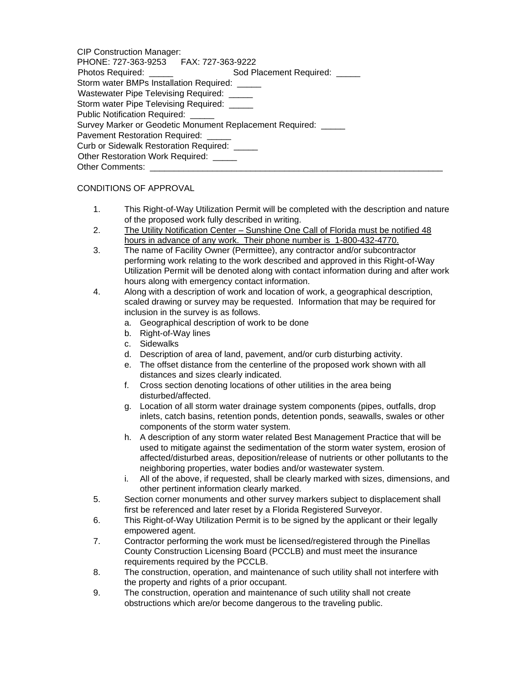| <b>CIP Construction Manager:</b>                               |  |
|----------------------------------------------------------------|--|
| PHONE: 727-363-9253 FAX: 727-363-9222                          |  |
| Photos Required: ______<br>Sod Placement Required:             |  |
| Storm water BMPs Installation Required: _____                  |  |
| Wastewater Pipe Televising Required: _____                     |  |
| Storm water Pipe Televising Required: _____                    |  |
| Public Notification Required: _____                            |  |
| Survey Marker or Geodetic Monument Replacement Required: _____ |  |
| Pavement Restoration Required: _____                           |  |
| Curb or Sidewalk Restoration Required: _____                   |  |
| Other Restoration Work Required: _____                         |  |
| <b>Other Comments:</b>                                         |  |

### CONDITIONS OF APPROVAL

- 1. This Right-of-Way Utilization Permit will be completed with the description and nature of the proposed work fully described in writing.
- 2. The Utility Notification Center Sunshine One Call of Florida must be notified 48 hours in advance of any work. Their phone number is 1-800-432-4770.
- 3. The name of Facility Owner (Permittee), any contractor and/or subcontractor performing work relating to the work described and approved in this Right-of-Way Utilization Permit will be denoted along with contact information during and after work hours along with emergency contact information.
- 4. Along with a description of work and location of work, a geographical description, scaled drawing or survey may be requested. Information that may be required for inclusion in the survey is as follows.
	- a. Geographical description of work to be done
	- b. Right-of-Way lines
	- c. Sidewalks
	- d. Description of area of land, pavement, and/or curb disturbing activity.
	- e. The offset distance from the centerline of the proposed work shown with all distances and sizes clearly indicated.
	- f. Cross section denoting locations of other utilities in the area being disturbed/affected.
	- g. Location of all storm water drainage system components (pipes, outfalls, drop inlets, catch basins, retention ponds, detention ponds, seawalls, swales or other components of the storm water system.
	- h. A description of any storm water related Best Management Practice that will be used to mitigate against the sedimentation of the storm water system, erosion of affected/disturbed areas, deposition/release of nutrients or other pollutants to the neighboring properties, water bodies and/or wastewater system.
	- i. All of the above, if requested, shall be clearly marked with sizes, dimensions, and other pertinent information clearly marked.
- 5. Section corner monuments and other survey markers subject to displacement shall first be referenced and later reset by a Florida Registered Surveyor.
- 6. This Right-of-Way Utilization Permit is to be signed by the applicant or their legally empowered agent.
- 7. Contractor performing the work must be licensed/registered through the Pinellas County Construction Licensing Board (PCCLB) and must meet the insurance requirements required by the PCCLB.
- 8. The construction, operation, and maintenance of such utility shall not interfere with the property and rights of a prior occupant.
- 9. The construction, operation and maintenance of such utility shall not create obstructions which are/or become dangerous to the traveling public.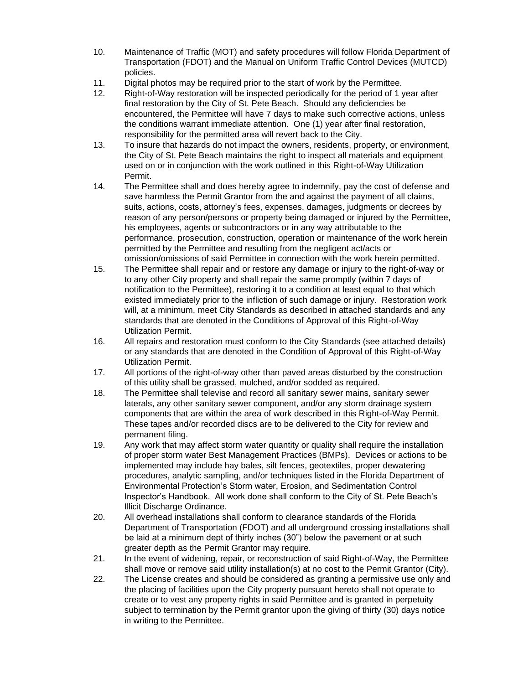- 10. Maintenance of Traffic (MOT) and safety procedures will follow Florida Department of Transportation (FDOT) and the Manual on Uniform Traffic Control Devices (MUTCD) policies.
- 11. Digital photos may be required prior to the start of work by the Permittee.
- 12. Right-of-Way restoration will be inspected periodically for the period of 1 year after final restoration by the City of St. Pete Beach. Should any deficiencies be encountered, the Permittee will have 7 days to make such corrective actions, unless the conditions warrant immediate attention. One (1) year after final restoration, responsibility for the permitted area will revert back to the City.
- 13. To insure that hazards do not impact the owners, residents, property, or environment, the City of St. Pete Beach maintains the right to inspect all materials and equipment used on or in conjunction with the work outlined in this Right-of-Way Utilization Permit.
- 14. The Permittee shall and does hereby agree to indemnify, pay the cost of defense and save harmless the Permit Grantor from the and against the payment of all claims, suits, actions, costs, attorney's fees, expenses, damages, judgments or decrees by reason of any person/persons or property being damaged or injured by the Permittee, his employees, agents or subcontractors or in any way attributable to the performance, prosecution, construction, operation or maintenance of the work herein permitted by the Permittee and resulting from the negligent act/acts or omission/omissions of said Permittee in connection with the work herein permitted.
- 15. The Permittee shall repair and or restore any damage or injury to the right-of-way or to any other City property and shall repair the same promptly (within 7 days of notification to the Permittee), restoring it to a condition at least equal to that which existed immediately prior to the infliction of such damage or injury. Restoration work will, at a minimum, meet City Standards as described in attached standards and any standards that are denoted in the Conditions of Approval of this Right-of-Way Utilization Permit.
- 16. All repairs and restoration must conform to the City Standards (see attached details) or any standards that are denoted in the Condition of Approval of this Right-of-Way Utilization Permit.
- 17. All portions of the right-of-way other than paved areas disturbed by the construction of this utility shall be grassed, mulched, and/or sodded as required.
- 18. The Permittee shall televise and record all sanitary sewer mains, sanitary sewer laterals, any other sanitary sewer component, and/or any storm drainage system components that are within the area of work described in this Right-of-Way Permit. These tapes and/or recorded discs are to be delivered to the City for review and permanent filing.
- 19. Any work that may affect storm water quantity or quality shall require the installation of proper storm water Best Management Practices (BMPs). Devices or actions to be implemented may include hay bales, silt fences, geotextiles, proper dewatering procedures, analytic sampling, and/or techniques listed in the Florida Department of Environmental Protection's Storm water, Erosion, and Sedimentation Control Inspector's Handbook. All work done shall conform to the City of St. Pete Beach's Illicit Discharge Ordinance.
- 20. All overhead installations shall conform to clearance standards of the Florida Department of Transportation (FDOT) and all underground crossing installations shall be laid at a minimum dept of thirty inches (30") below the pavement or at such greater depth as the Permit Grantor may require.
- 21. In the event of widening, repair, or reconstruction of said Right-of-Way, the Permittee shall move or remove said utility installation(s) at no cost to the Permit Grantor (City).
- 22. The License creates and should be considered as granting a permissive use only and the placing of facilities upon the City property pursuant hereto shall not operate to create or to vest any property rights in said Permittee and is granted in perpetuity subject to termination by the Permit grantor upon the giving of thirty (30) days notice in writing to the Permittee.